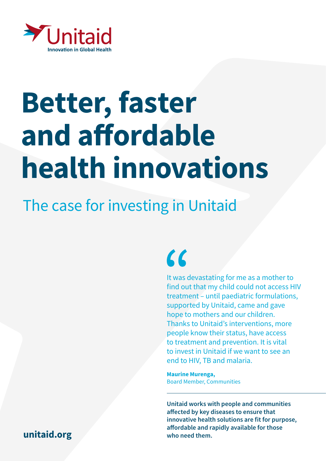

# Better, faster and affordable health innovations

### The case for investing in Unitaid

## $\epsilon$

It was devastating for me as a mother to find out that my child could not access HIV treatment – until paediatric formulations, supported by Unitaid, came and gave hope to mothers and our children. Thanks to Unitaid's interventions, more people know their status, have access to treatment and prevention. It is vital to invest in Unitaid if we want to see an end to HIV, TB and malaria.

Maurine Murenga, Board Member, Communities

Unitaid works with people and communities affected by key diseases to ensure that innovative health solutions are fit for purpose, affordable and rapidly available for those

#### [unitaid.org](https://unitaid.org/#en) who need them.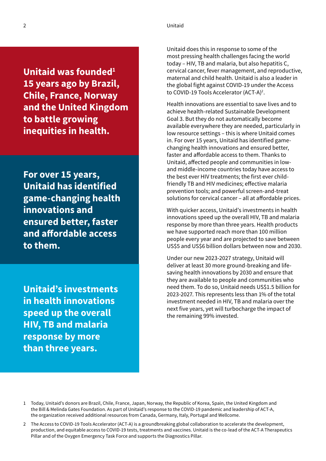2 Unitaid

Unitaid was founded $1$ 15 years ago by Brazil, Chile, France, Norway and the United Kingdom to battle growing inequities in health.

For over 15 years, Unitaid has identified game-changing health innovations and ensured better, faster and affordable access to them.

Unitaid's investments in health innovations speed up the overall HIV, TB and malaria response by more than three years.

Unitaid does this in response to some of the most pressing health challenges facing the world today – HIV, TB and malaria, but also hepatitis C, cervical cancer, fever management, and reproductive, maternal and child health. Unitaid is also a leader in the global fight against COVID-19 under the Access to COVID-19 Tools Accelerator (ACT-A)<sup>2</sup>.

Health innovations are essential to save lives and to achieve health-related Sustainable Development Goal 3. But they do not automatically become available everywhere they are needed, particularly in low resource settings – this is where Unitaid comes in. For over 15 years, Unitaid has identified gamechanging health innovations and ensured better, faster and affordable access to them. Thanks to Unitaid, affected people and communities in lowand middle-income countries today have access to the best ever HIV treatments; the first ever childfriendly TB and HIV medicines; effective malaria prevention tools; and powerful screen-and-treat solutions for cervical cancer – all at affordable prices.

With quicker access, Unitaid's investments in health innovations speed up the overall HIV, TB and malaria response by more than three years. Health products we have supported reach more than 100 million people every year and are projected to save between US\$5 and US\$6 billion dollars between now and 2030.

Under our new 2023-2027 strategy, Unitaid will deliver at least 30 more ground-breaking and lifesaving health innovations by 2030 and ensure that they are available to people and communities who need them. To do so, Unitaid needs US\$1.5 billion for 2023-2027. This represents less than 1% of the total investment needed in HIV, TB and malaria over the next five years, yet will turbocharge the impact of the remaining 99% invested.

<sup>1</sup> Today, Unitaid's donors are Brazil, Chile, France, Japan, Norway, the Republic of Korea, Spain, the United Kingdom and the Bill & Melinda Gates Foundation. As part of Unitaid's response to the COVID-19 pandemic and leadership of ACT-A, the organization received additional resources from Canada, Germany, Italy, Portugal and Wellcome.

<sup>2</sup> The Access to COVID-19 Tools Accelerator (ACT-A) is a groundbreaking global collaboration to accelerate the development, production, and equitable access to COVID-19 tests, treatments and vaccines. Unitaid is the co-lead of the ACT-A Therapeutics Pillar and of the Oxygen Emergency Task Force and supports the Diagnostics Pillar.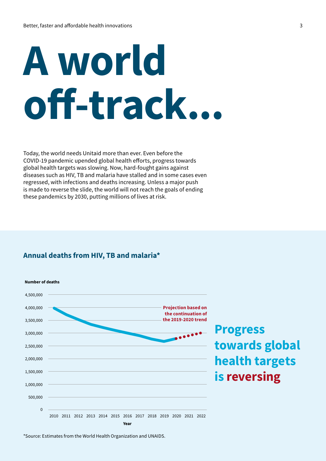# A world off-track...

Today, the world needs Unitaid more than ever. Even before the COVID-19 pandemic upended global health efforts, progress towards global health targets was slowing. Now, hard-fought gains against diseases such as HIV, TB and malaria have stalled and in some cases even regressed, with infections and deaths increasing. Unless a major push is made to reverse the slide, the world will not reach the goals of ending these pandemics by 2030, putting millions of lives at risk.

#### Annual deaths from HIV, TB and malaria\*



### Progress towards global health targets is reversing

\*Source: Estimates from the World Health Organization and UNAIDS.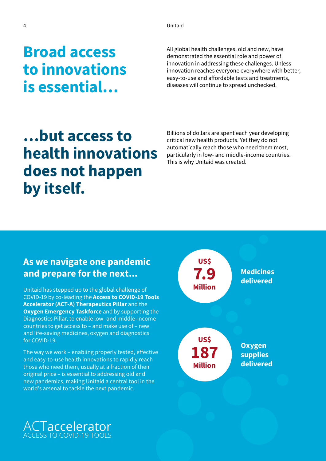Broad access to innovations is essential…

All global health challenges, old and new, have demonstrated the essential role and power of innovation in addressing these challenges. Unless innovation reaches everyone everywhere with better, easy-to-use and affordable tests and treatments, diseases will continue to spread unchecked.

### …but access to health innovations does not happen by itself.

Billions of dollars are spent each year developing critical new health products. Yet they do not automatically reach those who need them most, particularly in low- and middle-income countries. This is why Unitaid was created.

#### As we navigate one pandemic and prepare for the next...

Unitaid has stepped up to the global challenge of COVID-19 by co-leading the Access to COVID-19 Tools Accelerator (ACT-A) Therapeutics Pillar and the **Oxygen Emergency Taskforce and by supporting the** Diagnostics Pillar, to enable low- and middle-income countries to get access to – and make use of – new and life-saving medicines, oxygen and diagnostics for COVID-19.

The way we work – enabling properly tested, effective and easy-to-use health innovations to rapidly reach those who need them, usually at a fraction of their original price – is essential to addressing old and new pandemics, making Unitaid a central tool in the world's arsenal to tackle the next pandemic.



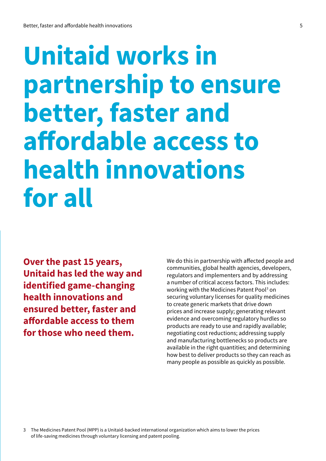## Unitaid works in partnership to ensure better, faster and affordable access to health innovations for all

Over the past 15 years, Unitaid has led the way and identified game-changing health innovations and ensured better, faster and affordable access to them for those who need them.

We do this in partnership with affected people and communities, global health agencies, developers, regulators and implementers and by addressing a number of critical access factors. This includes: working with the Medicines Patent Pool<sup>3</sup> on securing voluntary licenses for quality medicines to create generic markets that drive down prices and increase supply; generating relevant evidence and overcoming regulatory hurdles so products are ready to use and rapidly available; negotiating cost reductions; addressing supply and manufacturing bottlenecks so products are available in the right quantities; and determining how best to deliver products so they can reach as many people as possible as quickly as possible.

3 The Medicines Patent Pool (MPP) is a Unitaid-backed international organization which aims to lower the prices of life-saving medicines through voluntary licensing and patent pooling.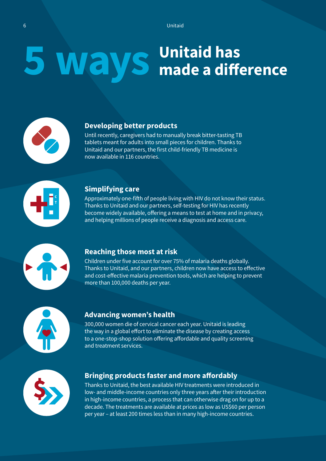### 5 Ways <sup>Unitaid has</sup> made a difference



#### Developing better products

Until recently, caregivers had to manually break bitter-tasting TB tablets meant for adults into small pieces for children. Thanks to Unitaid and our partners, the first child-friendly TB medicine is now available in 116 countries.



#### Simplifying care

Approximately one-fifth of people living with HIV do not know their status. Thanks to Unitaid and our partners, self-testing for HIV has recently become widely available, offering a means to test at home and in privacy, and helping millions of people receive a diagnosis and access care.



#### Reaching those most at risk

Children under five account for over 75% of malaria deaths globally. Thanks to Unitaid, and our partners, children now have access to effective and cost-effective malaria prevention tools, which are helping to prevent more than 100,000 deaths per year.



#### Advancing women's health

300,000 women die of cervical cancer each year. Unitaid is leading the way in a global effort to eliminate the disease by creating access to a one-stop-shop solution offering affordable and quality screening and treatment services.



#### Bringing products faster and more affordably

Thanks to Unitaid, the best available HIV treatments were introduced in low- and middle-income countries only three years after their introduction in high-income countries, a process that can otherwise drag on for up to a decade. The treatments are available at prices as low as US\$60 per person per year – at least 200 times less than in many high-income countries.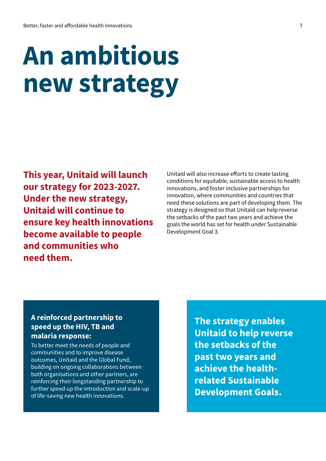## An ambitious new strategy

This year, Unitaid will launch our strategy for 2023-2027. Under the new strategy, Unitaid will continue to ensure key health innovations become available to people and communities who need them.

Unitaid will also increase efforts to create lasting conditions for equitable, sustainable access to health innovations, and foster inclusive partnerships for innovation, where communities and countries that need these solutions are part of developing them. The strategy is designed so that Unitaid can help reverse the setbacks of the past two years and achieve the goals the world has set for health under Sustainable Development Goal 3.

#### A reinforced partnership to speed up the HIV, TB and malaria response:

To better meet the needs of people and communities and to improve disease outcomes, Unitaid and the Global Fund, building on ongoing collaborations between both organisations and other partners, are reinforcing their longstanding partnership to further speed up the introduction and scale-up of life-saving new health innovations.

The strategy enables Unitaid to help reverse the setbacks of the past two years and achieve the healthrelated Sustainable Development Goals.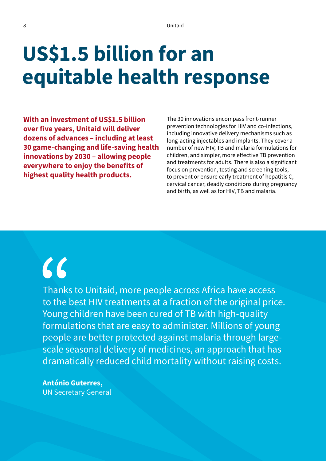## US\$1.5 billion for an equitable health response

With an investment of US\$1.5 billion over five years, Unitaid will deliver dozens of advances – including at least 30 game-changing and life-saving health innovations by 2030 – allowing people everywhere to enjoy the benefits of highest quality health products.

The 30 innovations encompass front-runner prevention technologies for HIV and co-infections, including innovative delivery mechanisms such as long-acting injectables and implants. They cover a number of new HIV, TB and malaria formulations for children, and simpler, more effective TB prevention and treatments for adults. There is also a significant focus on prevention, testing and screening tools, to prevent or ensure early treatment of hepatitis C, cervical cancer, deadly conditions during pregnancy and birth, as well as for HIV, TB and malaria.

## $\epsilon$

Thanks to Unitaid, more people across Africa have access to the best HIV treatments at a fraction of the original price. Young children have been cured of TB with high-quality formulations that are easy to administer. Millions of young people are better protected against malaria through largescale seasonal delivery of medicines, an approach that has dramatically reduced child mortality without raising costs.

António Guterres, UN Secretary General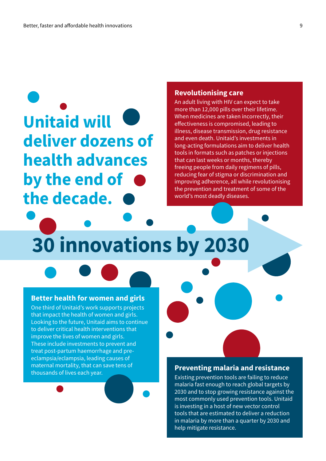## Unitaid will deliver dozens of health advances by the end of the decade.

#### Revolutionising care

An adult living with HIV can expect to take more than 12,000 pills over their lifetime. When medicines are taken incorrectly, their effectiveness is compromised, leading to illness, disease transmission, drug resistance and even death. Unitaid's investments in long-acting formulations aim to deliver health tools in formats such as patches or injections that can last weeks or months, thereby freeing people from daily regimens of pills, reducing fear of stigma or discrimination and improving adherence, all while revolutionising the prevention and treatment of some of the world's most deadly diseases.

30 innovations by 2030

#### Better health for women and girls

One third of Unitaid's work supports projects that impact the health of women and girls. Looking to the future, Unitaid aims to continue to deliver critical health interventions that improve the lives of women and girls. These include investments to prevent and treat post-partum haemorrhage and preeclampsia/eclampsia, leading causes of maternal mortality, that can save tens of thousands of lives each year.

#### Preventing malaria and resistance

Existing prevention tools are failing to reduce malaria fast enough to reach global targets by 2030 and to stop growing resistance against the most commonly used prevention tools. Unitaid is investing in a host of new vector control tools that are estimated to deliver a reduction in malaria by more than a quarter by 2030 and help mitigate resistance.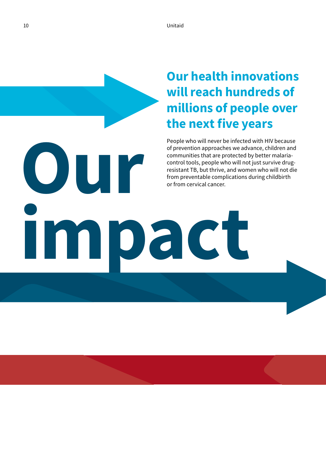### Our health innovations will reach hundreds of millions of people over the next five years

People who will never be infected with HIV because of prevention approaches we advance, children and communities that are protected by better malariacontrol tools, people who will not just survive drugresistant TB, but thrive, and women who will not die from preventable complications during childbirth

**OUR** impact or from cervical cancer.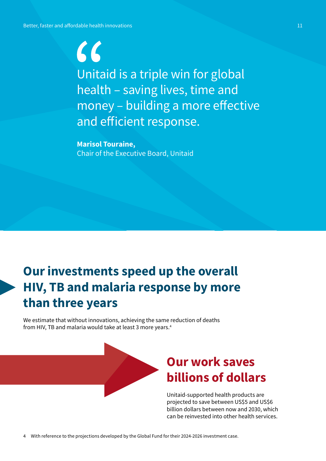$\zeta$ Unitaid is a triple win for global health – saving lives, time and money – building a more effective and efficient response.

Marisol Touraine, Chair of the Executive Board, Unitaid

### Our investments speed up the overall HIV, TB and malaria response by more than three years

We estimate that without innovations, achieving the same reduction of deaths from HIV, TB and malaria would take at least 3 more years.4

### Our work saves billions of dollars

Unitaid-supported health products are projected to save between US\$5 and US\$6 billion dollars between now and 2030, which can be reinvested into other health services.